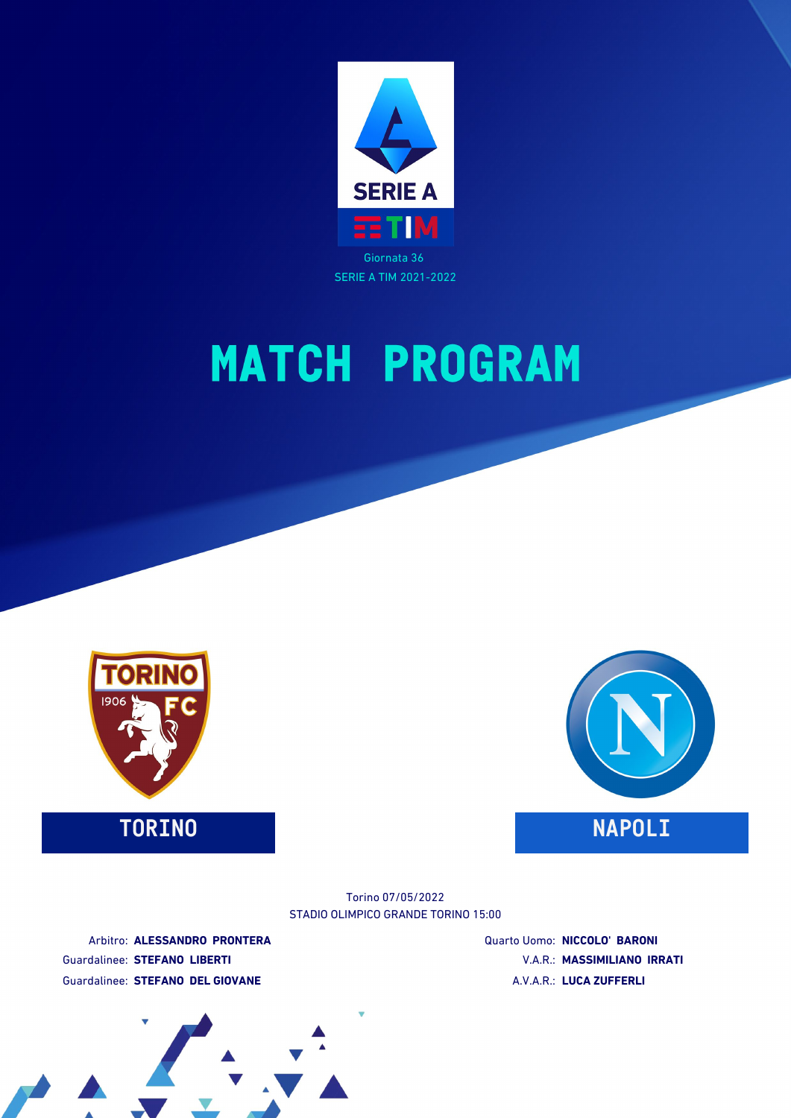

SERIE A TIM 2021-2022

# **MATCH PROGRAM**



**TORINO NAPOLI**



STADIO OLIMPICO GRANDE TORINO 15:00 Torino 07/05/2022

Arbitro: **ALESSANDRO PRONTERA** Guardalinee: **STEFANO LIBERTI** Guardalinee: **STEFANO DEL GIOVANE**

Quarto Uomo: **NICCOLO' BARONI** V.A.R.: **MASSIMILIANO IRRATI** A.V.A.R.: **LUCA ZUFFERLI**

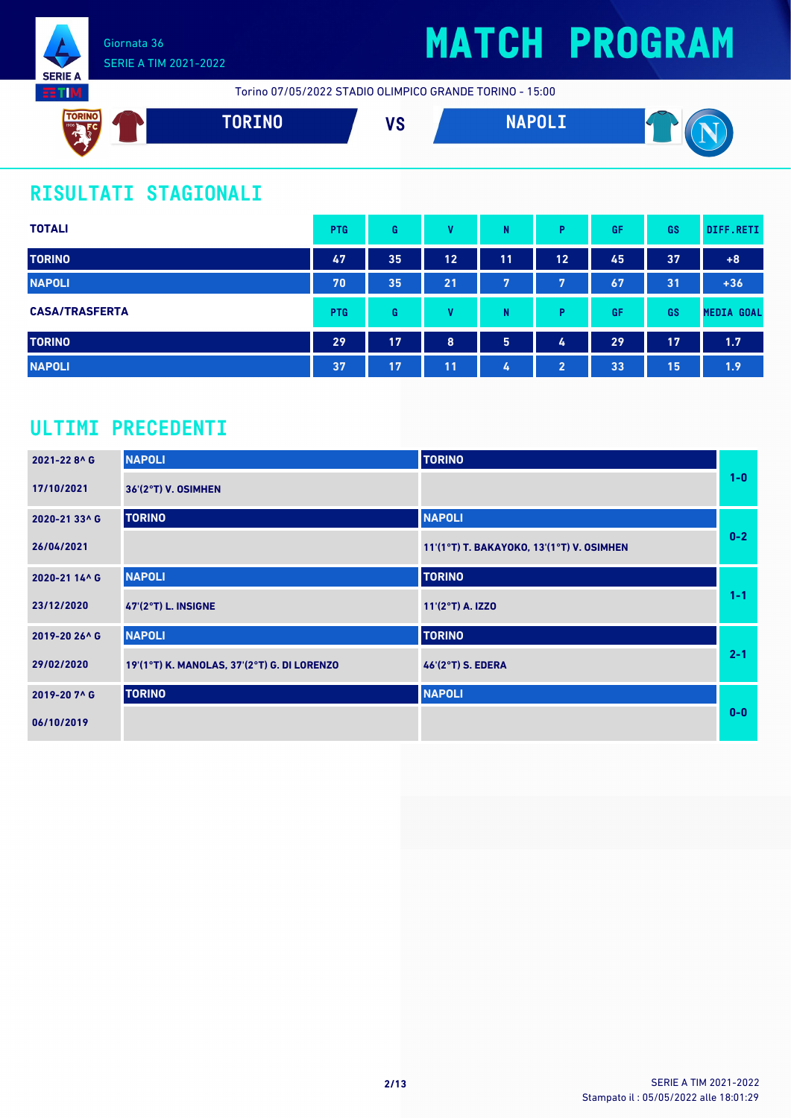

# **MATCH PROGRAM**

Torino 07/05/2022 STADIO OLIMPICO GRANDE TORINO - 15:00



### **RISULTATI STAGIONALI**

| <b>TOTALI</b>         | <b>PTG</b> | G  | v  | N              | P                     | GF | GS | DIFF.RETI         |
|-----------------------|------------|----|----|----------------|-----------------------|----|----|-------------------|
| <b>TORINO</b>         | 47         | 35 | 12 | 11             | 12                    | 45 | 37 | $+8$              |
| <b>NAPOLI</b>         | 70         | 35 | 21 | $\overline{7}$ | 7                     | 67 | 31 | $+36$             |
| <b>CASA/TRASFERTA</b> | <b>PTG</b> | G  | v  | N              | Þ                     | GF | GS | <b>MEDIA GOAL</b> |
| <b>TORINO</b>         | 29         | 17 | 8  | 5              | 4                     | 29 | 17 | 1.7               |
| <b>NAPOLI</b>         | 37         | 17 | 11 | 4              | $\mathbf{2}^{\prime}$ | 33 | 15 | 1.9               |

### **ULTIMI PRECEDENTI**

| 2021-228^G    | <b>NAPOLI</b>                               | <b>TORINO</b>                             |         |
|---------------|---------------------------------------------|-------------------------------------------|---------|
| 17/10/2021    | 36'(2°T) V. OSIMHEN                         |                                           | $1-0$   |
| 2020-21 33^ G | <b>TORINO</b>                               | <b>NAPOLI</b>                             |         |
| 26/04/2021    |                                             | 11'(1°T) T. BAKAYOKO, 13'(1°T) V. OSIMHEN | $0-2$   |
| 2020-21 14^ G | <b>NAPOLI</b>                               | <b>TORINO</b>                             |         |
| 23/12/2020    | <b>47'(2°T) L. INSIGNE</b>                  | 11'(2°T) A. IZZO                          | $1 - 1$ |
| 2019-20 26^ G | <b>NAPOLI</b>                               | <b>TORINO</b>                             |         |
| 29/02/2020    | 19'(1°T) K. MANOLAS, 37'(2°T) G. DI LORENZO | 46'(2°T) S. EDERA                         | $2 - 1$ |
| 2019-20 7^ G  | <b>TORINO</b>                               | <b>NAPOLI</b>                             |         |
| 06/10/2019    |                                             |                                           | $0 - 0$ |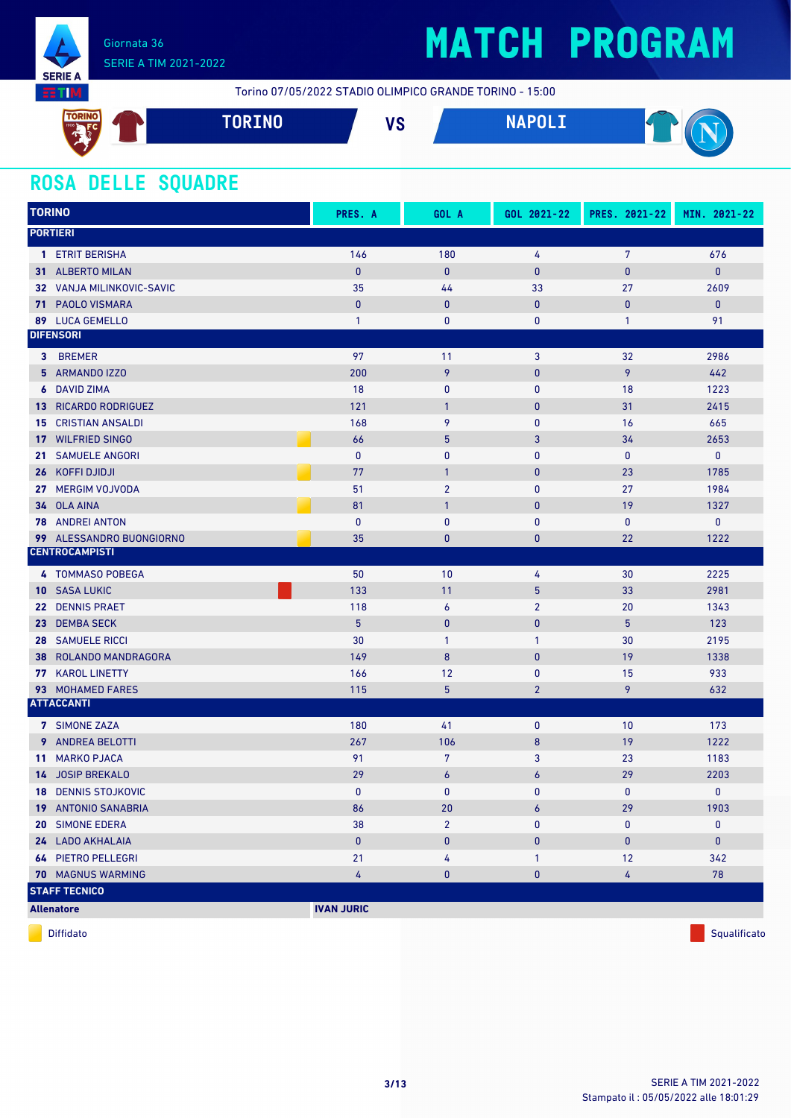

## **MATCH PROGRAM**

Torino 07/05/2022 STADIO OLIMPICO GRANDE TORINO - 15:00



### **ROSA DELLE SQUADRE**

| <b>TORINO</b>   |                             | PRES. A           | GOL A            | GOL 2021-22    | PRES. 2021-22  | MIN. 2021-22 |
|-----------------|-----------------------------|-------------------|------------------|----------------|----------------|--------------|
|                 | <b>PORTIERI</b>             |                   |                  |                |                |              |
|                 | 1 ETRIT BERISHA             | 146               | 180              | 4              | $\overline{7}$ | 676          |
|                 | 31 ALBERTO MILAN            | $\pmb{0}$         | $\mathbf{0}$     | $\pmb{0}$      | $\pmb{0}$      | $\mathbf{0}$ |
|                 | 32 VANJA MILINKOVIC-SAVIC   | 35                | 44               | 33             | 27             | 2609         |
| 71.             | <b>PAOLO VISMARA</b>        | $\pmb{0}$         | $\mathbf{0}$     | $\mathbf{0}$   | $\bf{0}$       | $\mathbf{0}$ |
|                 | 89 LUCA GEMELLO             | $\mathbf{1}$      | 0                | 0              | $\mathbf{1}$   | 91           |
|                 | <b>DIFENSORI</b>            |                   |                  |                |                |              |
|                 | 3 BREMER                    | 97                | 11               | 3              | 32             | 2986         |
|                 | 5 ARMANDO IZZO              | 200               | 9                | $\pmb{0}$      | 9              | 442          |
| 6               | <b>DAVID ZIMA</b>           | 18                | $\mathbf{0}$     | $\mathbf{0}$   | 18             | 1223         |
|                 | <b>13 RICARDO RODRIGUEZ</b> | 121               | $\mathbf{1}$     | $\bf{0}$       | 31             | 2415         |
| 15              | <b>CRISTIAN ANSALDI</b>     | 168               | 9                | 0              | 16             | 665          |
| 17 <sup>7</sup> | <b>WILFRIED SINGO</b>       | 66                | $5\phantom{.0}$  | 3              | 34             | 2653         |
| 21              | <b>SAMUELE ANGORI</b>       | $\pmb{0}$         | $\mathbf{0}$     | 0              | 0              | $\mathbf 0$  |
| 26              | KOFFI DJIDJI                | 77                | $\mathbf{1}$     | $\bf{0}$       | 23             | 1785         |
| 27              | <b>MERGIM VOJVODA</b>       | 51                | $\overline{2}$   | $\mathbf{0}$   | 27             | 1984         |
|                 | 34 OLA AINA                 | 81                | $\mathbf{1}$     | $\bf{0}$       | 19             | 1327         |
|                 | <b>78</b> ANDREI ANTON      | $\mathbf{0}$      | $\mathbf{0}$     | 0              | $\pmb{0}$      | $\pmb{0}$    |
|                 | 99 ALESSANDRO BUONGIORNO    | 35                | $\pmb{0}$        | $\bf{0}$       | 22             | 1222         |
|                 | <b>CENTROCAMPISTI</b>       |                   |                  |                |                |              |
|                 | 4 TOMMASO POBEGA            | 50                | 10               | 4              | 30             | 2225         |
|                 | 10 SASA LUKIC               | 133               | 11               | $\overline{5}$ | 33             | 2981         |
| 22 <sub>2</sub> | <b>DENNIS PRAET</b>         | 118               | $\boldsymbol{6}$ | $\overline{2}$ | 20             | 1343         |
| 23              | <b>DEMBA SECK</b>           | 5                 | $\mathbf{0}$     | $\bf{0}$       | 5              | 123          |
| 28              | <b>SAMUELE RICCI</b>        | 30                | $\mathbf{1}$     | 1              | 30             | 2195         |
| 38              | ROLANDO MANDRAGORA          | 149               | 8                | $\bf{0}$       | 19             | 1338         |
|                 | 77 KAROL LINETTY            | 166               | 12               | 0              | 15             | 933          |
|                 | 93 MOHAMED FARES            | 115               | $\overline{5}$   | $\overline{2}$ | 9              | 632          |
|                 | <b>ATTACCANTI</b>           |                   |                  |                |                |              |
|                 | 7 SIMONE ZAZA               | 180               | 41               | $\bf{0}$       | 10             | 173          |
|                 | <b>9</b> ANDREA BELOTTI     | 267               | 106              | 8              | 19             | 1222         |
| 11              | <b>MARKO PJACA</b>          | 91                | 7                | 3              | 23             | 1183         |
|                 | 14 JOSIP BREKALO            | 29                | 6                | 6              | 29             | 2203         |
|                 | 18 DENNIS STOJKOVIC         | $\mathbf{0}$      | $\mathbf{0}$     | 0              | 0              | $\pmb{0}$    |
|                 | 19 ANTONIO SANABRIA         | 86                | 20               | 6              | 29             | 1903         |
|                 | 20 SIMONE EDERA             | 38                | $\overline{2}$   | 0              | 0              | $\mathbf 0$  |
|                 | 24 LADO AKHALAIA            | $\mathbf{0}$      | $\pmb{0}$        | $\mathbf 0$    | 0              | $\bf{0}$     |
|                 | <b>64 PIETRO PELLEGRI</b>   | 21                | 4                | 1              | 12             | 342          |
|                 | <b>70 MAGNUS WARMING</b>    | 4                 | $\pmb{0}$        | 0              | 4              | 78           |
|                 | <b>STAFF TECNICO</b>        |                   |                  |                |                |              |
|                 | <b>Allenatore</b>           | <b>IVAN JURIC</b> |                  |                |                |              |

diffidato de la contradicción de la contradicción de la contradicción de la contradicción de la contradicción de Squalificato de la contradicción de la contradicción de la contradicción de la contradicción de la contradicc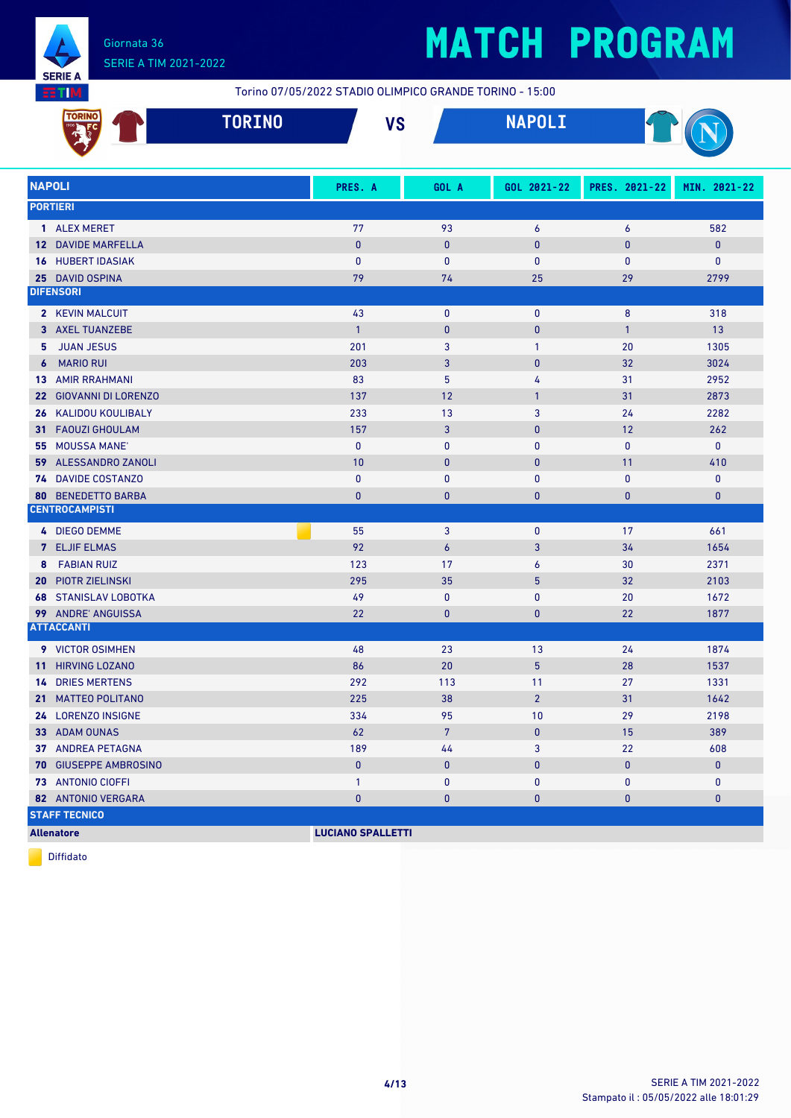

# **MATCH PROGRAM**

|            | 芸工M                            | Torino 07/05/2022 STADIO OLIMPICO GRANDE TORINO - 15:00 |                |                |               |              |
|------------|--------------------------------|---------------------------------------------------------|----------------|----------------|---------------|--------------|
|            | <b>TORINO</b><br><b>TORINO</b> | <b>VS</b>                                               |                | <b>NAPOLI</b>  |               |              |
|            | <b>NAPOLI</b>                  | PRES. A                                                 | GOL A          | GOL 2021-22    | PRES. 2021-22 | MIN. 2021-22 |
|            | <b>PORTIERI</b>                |                                                         |                |                |               |              |
|            | 1 ALEX MERET                   | 77                                                      | 93             | 6              | 6             | 582          |
|            | <b>12 DAVIDE MARFELLA</b>      | $\pmb{0}$                                               | $\mathbf 0$    | $\pmb{0}$      | $\mathbf{0}$  | $\mathbf{0}$ |
|            | <b>16 HUBERT IDASIAK</b>       | $\mathbf{0}$                                            | 0              | 0              | 0             | 0            |
|            | 25 DAVID OSPINA                | 79                                                      | 74             | 25             | 29            | 2799         |
|            | <b>DIFENSORI</b>               |                                                         |                |                |               |              |
|            | 2 KEVIN MALCUIT                | 43                                                      | $\mathbf 0$    | 0              | 8             | 318          |
|            | 3 AXEL TUANZEBE                | $\mathbf{1}$                                            | $\mathbf 0$    | $\pmb{0}$      | $\mathbf{1}$  | 13           |
| 5.         | <b>JUAN JESUS</b>              | 201                                                     | 3              | $\mathbf{1}$   | 20            | 1305         |
| $\epsilon$ | <b>MARIO RUI</b>               | 203                                                     | 3              | $\pmb{0}$      | 32            | 3024         |
|            | <b>13 AMIR RRAHMANI</b>        | 83                                                      | 5              | 4              | 31            | 2952         |
|            | 22 GIOVANNI DI LORENZO         | 137                                                     | 12             | $\mathbf{1}$   | 31            | 2873         |
|            | <b>26 KALIDOU KOULIBALY</b>    | 233                                                     | 13             | 3              | 24            | 2282         |
|            | 31 FAOUZI GHOULAM              | 157                                                     | 3              | 0              | 12            | 262          |
|            | 55 MOUSSA MANE'                | $\mathbf{0}$                                            | $\mathbf 0$    | 0              | $\mathbf{0}$  | $\mathbf{0}$ |
|            | 59 ALESSANDRO ZANOLI           | 10                                                      | $\bf{0}$       | $\pmb{0}$      | 11            | 410          |
|            | <b>74 DAVIDE COSTANZO</b>      | $\pmb{0}$                                               | $\mathbf 0$    | 0              | 0             | 0            |
|            | <b>80 BENEDETTO BARBA</b>      | $\mathbf{0}$                                            | 0              | $\pmb{0}$      | $\mathbf{0}$  | $\mathbf 0$  |
|            | <b>CENTROCAMPISTI</b>          |                                                         |                |                |               |              |
|            | 4 DIEGO DEMME                  | 55                                                      | 3              | $\bf{0}$       | 17            | 661          |
|            | 7 ELJIF ELMAS                  | 92                                                      | $\overline{6}$ | 3              | 34            | 1654         |
|            | 8 FABIAN RUIZ                  | 123                                                     | 17             | 6              | 30            | 2371         |
|            | <b>20 PIOTR ZIELINSKI</b>      | 295                                                     | 35             | 5              | 32            | 2103         |
|            | <b>68 STANISLAV LOBOTKA</b>    | 49                                                      | $\mathbf 0$    | 0              | 20            | 1672         |
|            | 99 ANDRE' ANGUISSA             | 22                                                      | 0              | $\bf{0}$       | 22            | 1877         |
|            | <b>ATTACCANTI</b>              |                                                         |                |                |               |              |
|            | 9 VICTOR OSIMHEN               | 48                                                      | 23             | 13             | 24            | 1874         |
|            | 11 HIRVING LOZANO              | 86                                                      | 20             | $\overline{5}$ | 28            | 1537         |
|            | <b>14 DRIES MERTENS</b>        | 292                                                     | 113            | 11             | 27            | 1331         |
|            | 21 MATTEO POLITANO             | 225                                                     | 38             | $\overline{2}$ | 31            | 1642         |
|            | 24 LORENZO INSIGNE             | 334                                                     | 95             | 10             | 29            | 2198         |
|            | 33 ADAM OUNAS                  | 62                                                      | $7\phantom{.}$ | $\pmb{0}$      | 15            | 389          |
|            | 37 ANDREA PETAGNA              | 189                                                     | 44             | 3              | 22            | 608          |
|            | 70 GIUSEPPE AMBROSINO          | $\pmb{0}$                                               | $\bf{0}$       | 0              | 0             | $\bf{0}$     |
|            | 73 ANTONIO CIOFFI              | $\mathbf{1}$                                            | 0              | 0              | 0             | $\mathbf{0}$ |
|            | 82 ANTONIO VERGARA             | $\pmb{0}$                                               | $\pmb{0}$      | $\pmb{0}$      | 0             | 0            |
|            | <b>STAFF TECNICO</b>           |                                                         |                |                |               |              |

**Allenatore LUCIANO SPALLETTI**

Diffidato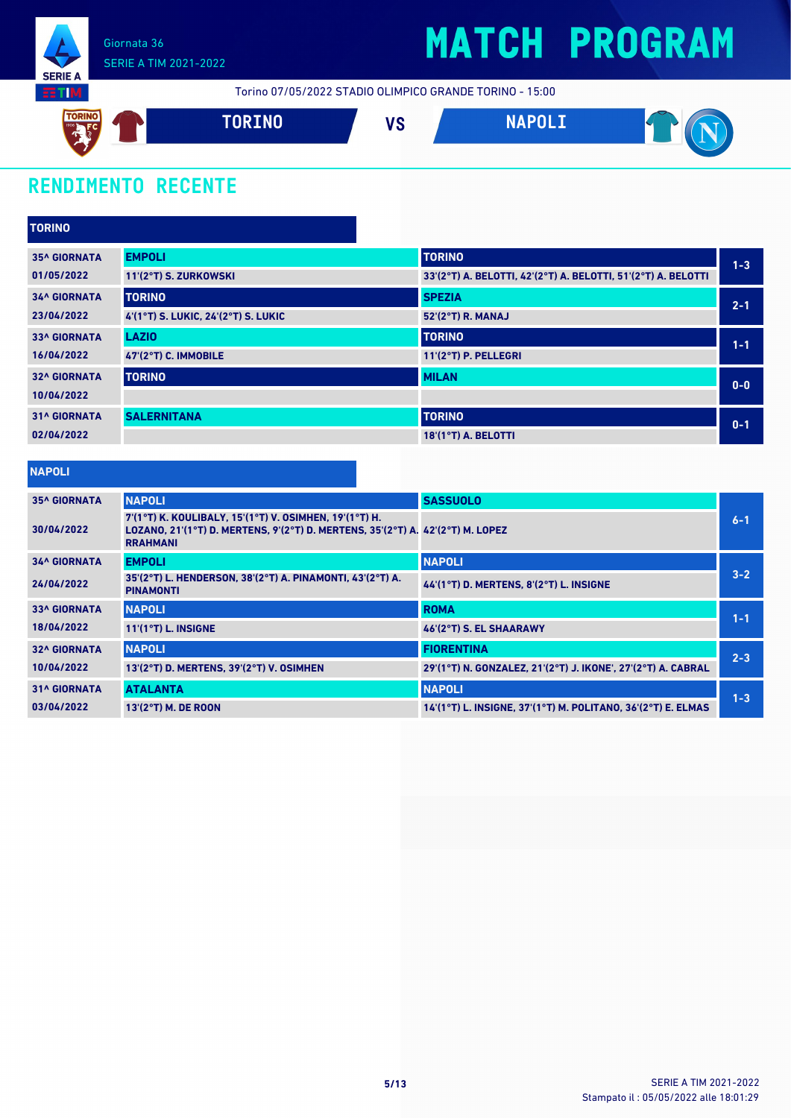

## **MATCH PROGRAM**

Torino 07/05/2022 STADIO OLIMPICO GRANDE TORINO - 15:00



### **RENDIMENTO RECENTE**

| <b>TORINO</b>       |                                     |                                                               |         |
|---------------------|-------------------------------------|---------------------------------------------------------------|---------|
| <b>35^ GIORNATA</b> | <b>EMPOLI</b>                       | <b>TORINO</b>                                                 | $1 - 3$ |
| 01/05/2022          | 11'(2°T) S. ZURKOWSKI               | 33'(2°T) A. BELOTTI, 42'(2°T) A. BELOTTI, 51'(2°T) A. BELOTTI |         |
| <b>34^ GIORNATA</b> | <b>TORINO</b>                       | <b>SPEZIA</b>                                                 | $2 - 1$ |
| 23/04/2022          | 4'(1°T) S. LUKIC, 24'(2°T) S. LUKIC | 52'(2°T) R. MANAJ                                             |         |
| <b>33^ GIORNATA</b> | <b>LAZIO</b>                        | <b>TORINO</b>                                                 | $1 - 1$ |
| 16/04/2022          | 47'(2°T) C. IMMOBILE                | 11'(2°T) P. PELLEGRI                                          |         |
| <b>32^ GIORNATA</b> | <b>TORINO</b>                       | <b>MILAN</b>                                                  | $0 - 0$ |
| 10/04/2022          |                                     |                                                               |         |
| <b>31^ GIORNATA</b> | <b>SALERNITANA</b>                  | <b>TORINO</b>                                                 | $0 - 1$ |
| 02/04/2022          |                                     | 18'(1°T) A. BELOTTI                                           |         |

| <b>Service Service</b> | <b>Service Service</b> |  | $\mathcal{L}(\mathcal{L})$ and $\mathcal{L}(\mathcal{L})$ and $\mathcal{L}(\mathcal{L})$ and $\mathcal{L}(\mathcal{L})$ |
|------------------------|------------------------|--|-------------------------------------------------------------------------------------------------------------------------|

| <b>35^ GIORNATA</b> | <b>NAPOLI</b>                                                                                                                                               | <b>SASSUOLO</b>                                              |         |
|---------------------|-------------------------------------------------------------------------------------------------------------------------------------------------------------|--------------------------------------------------------------|---------|
| 30/04/2022          | 7'(1°T) K. KOULIBALY, 15'(1°T) V. OSIMHEN, 19'(1°T) H.<br>LOZANO, 21'(1°T) D. MERTENS, 9'(2°T) D. MERTENS, 35'(2°T) A. 42'(2°T) M. LOPEZ<br><b>RRAHMANI</b> |                                                              | $6 - 1$ |
| <b>34^ GIORNATA</b> | <b>EMPOLI</b>                                                                                                                                               | <b>NAPOLI</b>                                                |         |
| 24/04/2022          | 35'(2°T) L. HENDERSON, 38'(2°T) A. PINAMONTI, 43'(2°T) A.<br><b>PINAMONTI</b>                                                                               | 44'(1°T) D. MERTENS, 8'(2°T) L. INSIGNE                      | $3 - 2$ |
| <b>33^ GIORNATA</b> | <b>NAPOLI</b>                                                                                                                                               | <b>ROMA</b>                                                  | $1 - 1$ |
| 18/04/2022          | $11'(1°T)$ L. INSIGNE                                                                                                                                       | 46'(2°T) S. EL SHAARAWY                                      |         |
| <b>32^ GIORNATA</b> | <b>NAPOLI</b>                                                                                                                                               | <b>FIORENTINA</b>                                            | $2 - 3$ |
| 10/04/2022          | 13'(2°T) D. MERTENS, 39'(2°T) V. OSIMHEN                                                                                                                    | 29'(1°T) N. GONZALEZ, 21'(2°T) J. IKONE', 27'(2°T) A. CABRAL |         |
| <b>31^ GIORNATA</b> | <b>ATALANTA</b>                                                                                                                                             | <b>NAPOLI</b>                                                | $1 - 3$ |
| 03/04/2022          | 13'(2°T) M. DE ROON                                                                                                                                         | 14'(1°T) L. INSIGNE, 37'(1°T) M. POLITANO, 36'(2°T) E. ELMAS |         |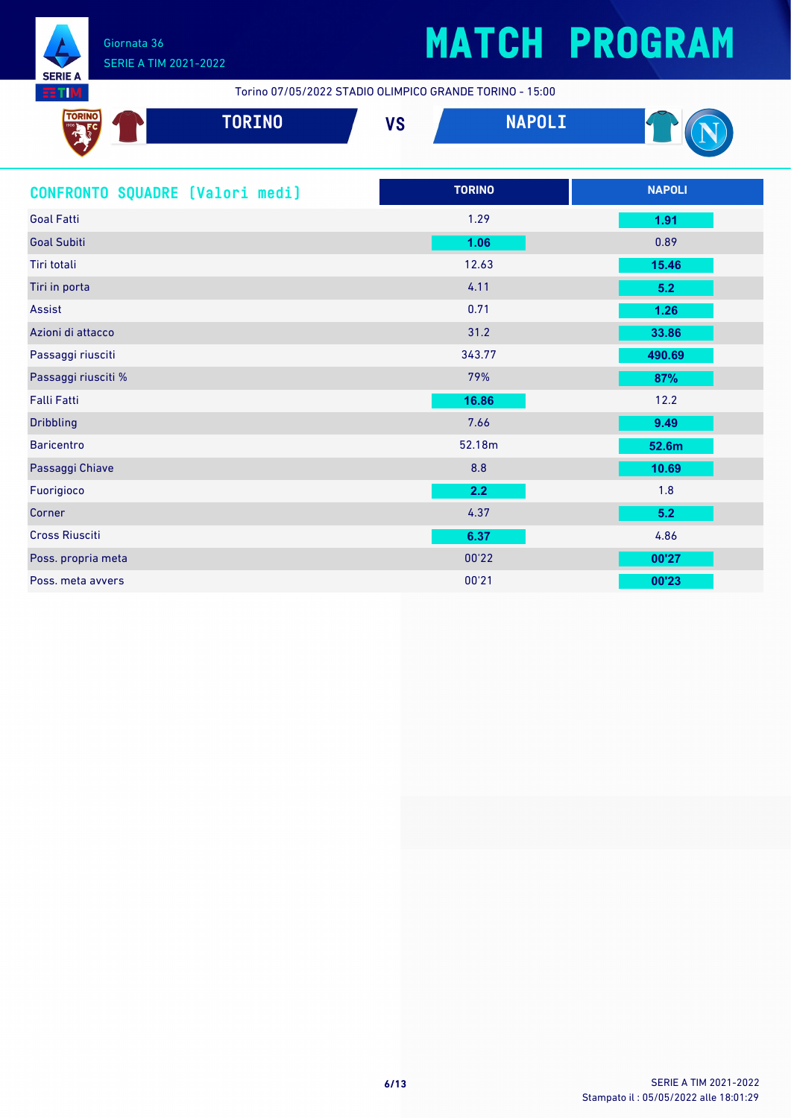

## SERIE A TIM 2021-2022

# **MATCH PROGRAM**

Torino 07/05/2022 STADIO OLIMPICO GRANDE TORINO - 15:00

| <b>TORIN</b><br>w | <b>TORINO</b> | VC<br>' J | <b>NARAL TA</b><br><u> Time de la</u> | $\overline{\phantom{a}}$ |
|-------------------|---------------|-----------|---------------------------------------|--------------------------|
|                   |               |           |                                       |                          |

| CONFRONTO SQUADRE [Valori medi] | <b>TORINO</b> | <b>NAPOLI</b> |
|---------------------------------|---------------|---------------|
| <b>Goal Fatti</b>               | 1.29          | 1.91          |
| <b>Goal Subiti</b>              | 1.06          | 0.89          |
| Tiri totali                     | 12.63         | 15.46         |
| Tiri in porta                   | 4.11          | 5.2           |
| <b>Assist</b>                   | 0.71          | 1.26          |
| Azioni di attacco               | 31.2          | 33.86         |
| Passaggi riusciti               | 343.77        | 490.69        |
| Passaggi riusciti %             | 79%           | 87%           |
| <b>Falli Fatti</b>              | 16.86         | 12.2          |
| <b>Dribbling</b>                | 7.66          | 9.49          |
| <b>Baricentro</b>               | 52.18m        | 52.6m         |
| Passaggi Chiave                 | 8.8           | 10.69         |
| Fuorigioco                      | 2.2           | 1.8           |
| Corner                          | 4.37          | 5.2           |
| <b>Cross Riusciti</b>           | 6.37          | 4.86          |
| Poss. propria meta              | 00'22         | 00'27         |
| Poss, meta avvers               | 00'21         | 00'23         |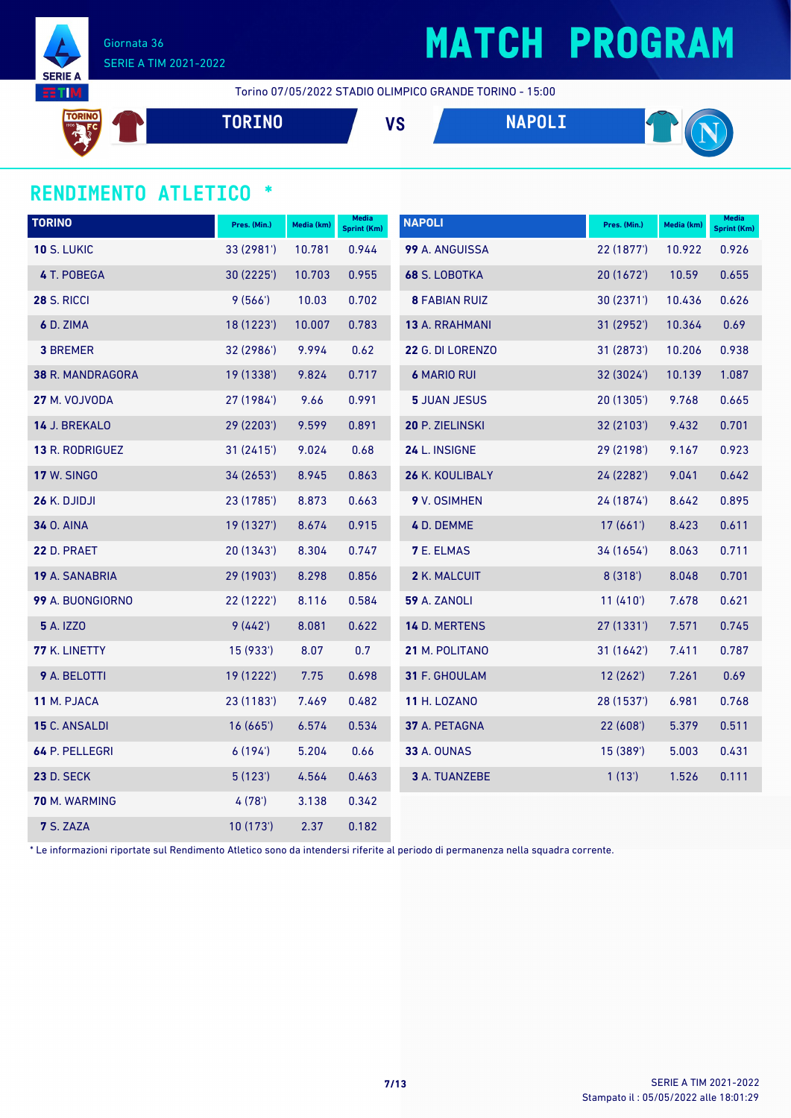

## **MATCH PROGRAM**

Torino 07/05/2022 STADIO OLIMPICO GRANDE TORINO - 15:00

**TORINO VS NAPOLI** 

### **RENDIMENTO ATLETICO \***

| <b>TORINO</b>        | Pres. (Min.) | Media (km) | Media<br><b>Sprint (Km)</b> | <b>NAPOLI</b>        | Pres. (Min.) | Media (km) | <b>Media</b><br>Sprint (Km) |
|----------------------|--------------|------------|-----------------------------|----------------------|--------------|------------|-----------------------------|
| <b>10 S. LUKIC</b>   | 33 (2981')   | 10.781     | 0.944                       | 99 A. ANGUISSA       | 22 (1877')   | 10.922     | 0.926                       |
| 4 T. POBEGA          | 30 (2225')   | 10.703     | 0.955                       | 68 S. LOBOTKA        | 20 (1672')   | 10.59      | 0.655                       |
| <b>28 S. RICCI</b>   | 9(566')      | 10.03      | 0.702                       | <b>8 FABIAN RUIZ</b> | 30(2371)     | 10.436     | 0.626                       |
| 6 D. ZIMA            | 18 (1223')   | 10.007     | 0.783                       | 13 A. RRAHMANI       | 31 (2952')   | 10.364     | 0.69                        |
| <b>3 BREMER</b>      | 32 (2986')   | 9.994      | 0.62                        | 22 G. DI LORENZO     | 31 (2873')   | 10.206     | 0.938                       |
| 38 R. MANDRAGORA     | 19 (1338')   | 9.824      | 0.717                       | <b>6 MARIO RUI</b>   | 32 (3024')   | 10.139     | 1.087                       |
| 27 M. VOJVODA        | 27 (1984')   | 9.66       | 0.991                       | <b>5 JUAN JESUS</b>  | 20 (1305')   | 9.768      | 0.665                       |
| 14 J. BREKALO        | 29 (2203')   | 9.599      | 0.891                       | 20 P. ZIELINSKI      | 32 (2103')   | 9.432      | 0.701                       |
| 13 R. RODRIGUEZ      | 31 (2415')   | 9.024      | 0.68                        | 24 L. INSIGNE        | 29 (2198')   | 9.167      | 0.923                       |
| <b>17 W. SINGO</b>   | 34 (2653')   | 8.945      | 0.863                       | 26 K. KOULIBALY      | 24 (2282')   | 9.041      | 0.642                       |
| 26 K. DJIDJI         | 23 (1785')   | 8.873      | 0.663                       | 9 V. OSIMHEN         | 24 (1874')   | 8.642      | 0.895                       |
| <b>34 O. AINA</b>    | 19 (1327')   | 8.674      | 0.915                       | 4 D. DEMME           | 17(661)      | 8.423      | 0.611                       |
| <b>22 D. PRAET</b>   | 20 (1343')   | 8.304      | 0.747                       | <b>7 E. ELMAS</b>    | 34 (1654')   | 8.063      | 0.711                       |
| 19 A. SANABRIA       | 29 (1903')   | 8.298      | 0.856                       | 2 K. MALCUIT         | 8(318)       | 8.048      | 0.701                       |
| 99 A. BUONGIORNO     | 22 (1222')   | 8.116      | 0.584                       | <b>59 A. ZANOLI</b>  | 11(410)      | 7.678      | 0.621                       |
| <b>5</b> A. IZZO     | 9(442)       | 8.081      | 0.622                       | 14 D. MERTENS        | 27(1331)     | 7.571      | 0.745                       |
| <b>77 K. LINETTY</b> | 15 (933')    | 8.07       | 0.7                         | 21 M. POLITANO       | 31(1642)     | 7.411      | 0.787                       |
| 9 A. BELOTTI         | 19 (1222')   | 7.75       | 0.698                       | 31 F. GHOULAM        | 12(262)      | 7.261      | 0.69                        |
| 11 M. PJACA          | 23 (1183')   | 7.469      | 0.482                       | <b>11 H. LOZANO</b>  | 28 (1537')   | 6.981      | 0.768                       |
| 15 C. ANSALDI        | 16(665)      | 6.574      | 0.534                       | 37 A. PETAGNA        | 22(608)      | 5.379      | 0.511                       |
| 64 P. PELLEGRI       | 6(194)       | 5.204      | 0.66                        | <b>33 A. OUNAS</b>   | 15 (389')    | 5.003      | 0.431                       |
| <b>23 D. SECK</b>    | 5(123)       | 4.564      | 0.463                       | 3 A. TUANZEBE        | 1(13)        | 1.526      | 0.111                       |
| 70 M. WARMING        | 4(78)        | 3.138      | 0.342                       |                      |              |            |                             |
| <b>7 S. ZAZA</b>     | 10(173)      | 2.37       | 0.182                       |                      |              |            |                             |

\* Le informazioni riportate sul Rendimento Atletico sono da intendersi riferite al periodo di permanenza nella squadra corrente.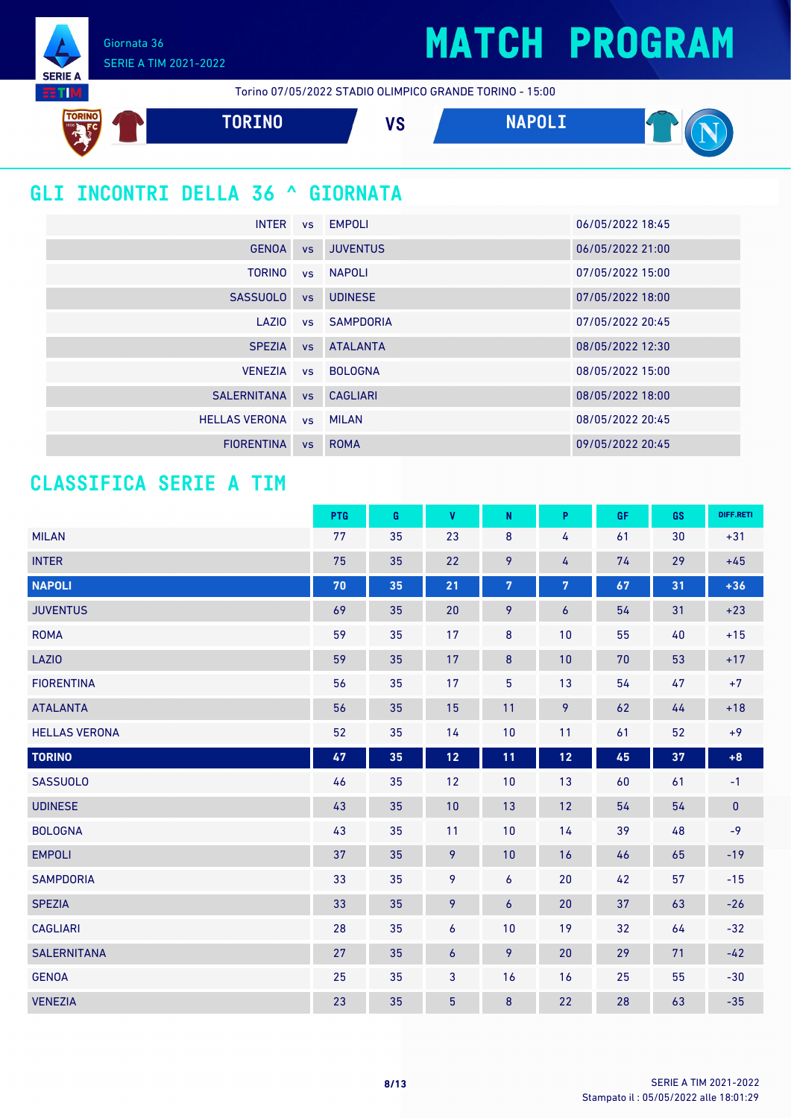## **MATCH PROGRAM**

Giornata 36 SERIE A TIM 2021-2022

**SERIE A HTM** 

Torino 07/05/2022 STADIO OLIMPICO GRANDE TORINO - 15:00



### **GLI INCONTRI DELLA 36 ^ GIORNATA**

| <b>INTER</b>         |           | vs EMPOLI       | 06/05/2022 18:45 |
|----------------------|-----------|-----------------|------------------|
| <b>GENOA</b>         | <b>VS</b> | <b>JUVENTUS</b> | 06/05/2022 21:00 |
| <b>TORINO</b>        |           | vs NAPOLI       | 07/05/2022 15:00 |
| <b>SASSUOLO</b>      | <b>VS</b> | <b>UDINESE</b>  | 07/05/2022 18:00 |
| LAZIO                |           | vs SAMPDORIA    | 07/05/2022 20:45 |
| <b>SPEZIA</b>        | VS        | <b>ATALANTA</b> | 08/05/2022 12:30 |
| <b>VENEZIA</b>       |           | vs BOLOGNA      | 08/05/2022 15:00 |
| <b>SALERNITANA</b>   |           | vs CAGLIARI     | 08/05/2022 18:00 |
| <b>HELLAS VERONA</b> |           | vs MILAN        | 08/05/2022 20:45 |
| <b>FIORENTINA</b>    | <b>VS</b> | <b>ROMA</b>     | 09/05/2022 20:45 |

### **CLASSIFICA SERIE A TIM**

|                      | PTG | G  | $\mathbf{V}$ | $\mathsf{N}$   | P                | <b>GF</b> | GS | DIFF.RETI |
|----------------------|-----|----|--------------|----------------|------------------|-----------|----|-----------|
| <b>MILAN</b>         | 77  | 35 | 23           | $\bf 8$        | 4                | 61        | 30 | $+31$     |
| <b>INTER</b>         | 75  | 35 | 22           | 9              | 4                | 74        | 29 | $+45$     |
| <b>NAPOLI</b>        | 70  | 35 | 21           | $\overline{7}$ | $\overline{7}$   | 67        | 31 | $+36$     |
| <b>JUVENTUS</b>      | 69  | 35 | 20           | 9              | $\boldsymbol{6}$ | 54        | 31 | $+23$     |
| <b>ROMA</b>          | 59  | 35 | 17           | 8              | 10               | 55        | 40 | $+15$     |
| <b>LAZIO</b>         | 59  | 35 | 17           | $\bf 8$        | 10               | 70        | 53 | $+17$     |
| <b>FIORENTINA</b>    | 56  | 35 | 17           | $\overline{5}$ | 13               | 54        | 47 | $+7$      |
| <b>ATALANTA</b>      | 56  | 35 | 15           | 11             | 9                | 62        | 44 | $+18$     |
| <b>HELLAS VERONA</b> | 52  | 35 | 14           | 10             | 11               | 61        | 52 | $+9$      |
| <b>TORINO</b>        | 47  | 35 | $12$         | 11             | $12$             | 45        | 37 | $+8$      |
| <b>SASSUOLO</b>      | 46  | 35 | 12           | 10             | 13               | 60        | 61 | $-1$      |
| <b>UDINESE</b>       | 43  | 35 | 10           | 13             | 12               | 54        | 54 | $\pmb{0}$ |
| <b>BOLOGNA</b>       | 43  | 35 | 11           | 10             | 14               | 39        | 48 | $-9$      |
| <b>EMPOLI</b>        | 37  | 35 | 9            | 10             | 16               | 46        | 65 | $-19$     |
| <b>SAMPDORIA</b>     | 33  | 35 | 9            | 6              | 20               | 42        | 57 | $-15$     |
| <b>SPEZIA</b>        | 33  | 35 | 9            | 6              | 20               | 37        | 63 | $-26$     |
| <b>CAGLIARI</b>      | 28  | 35 | 6            | 10             | 19               | 32        | 64 | $-32$     |
| <b>SALERNITANA</b>   | 27  | 35 | 6            | 9              | 20               | 29        | 71 | $-42$     |
| <b>GENOA</b>         | 25  | 35 | 3            | 16             | 16               | 25        | 55 | $-30$     |
| <b>VENEZIA</b>       | 23  | 35 | 5            | 8              | 22               | 28        | 63 | $-35$     |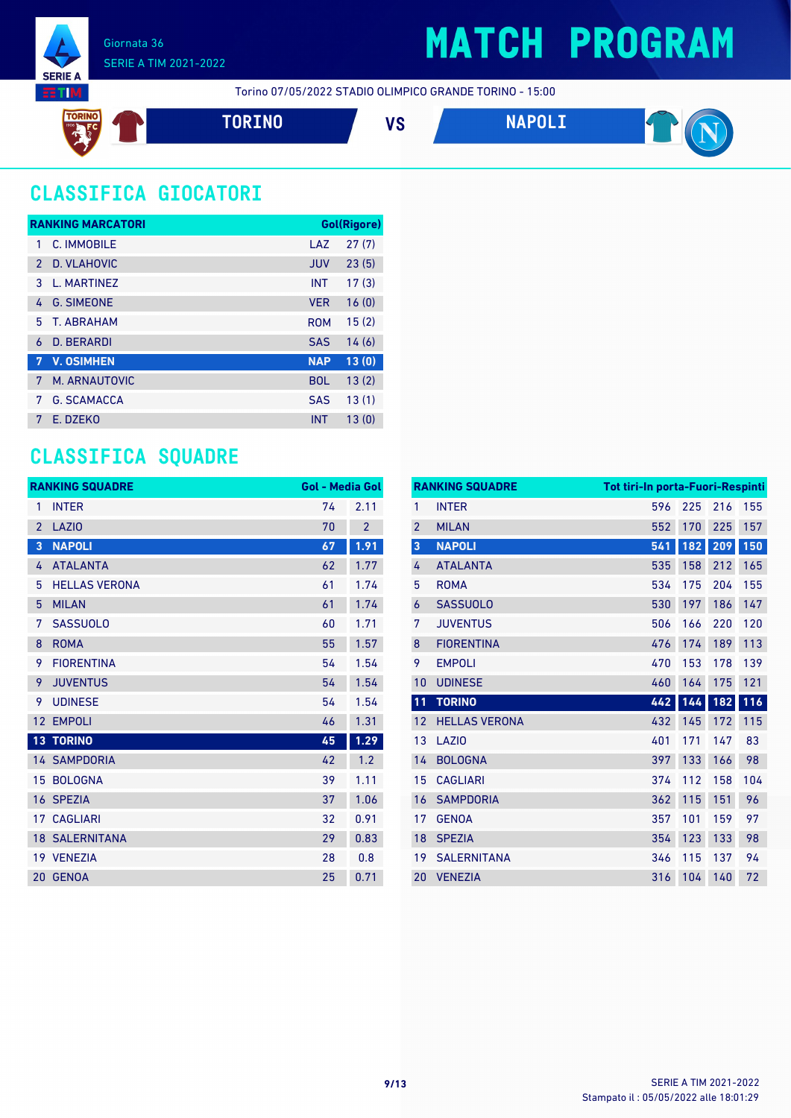

## **MATCH PROGRAM**

Torino 07/05/2022 STADIO OLIMPICO GRANDE TORINO - 15:00

**TORINO VS NAPOLI**



### **CLASSIFICA GIOCATORI**

|               | <b>RANKING MARCATORI</b> |            | Gol(Rigore) |
|---------------|--------------------------|------------|-------------|
| 1             | C. IMMOBILE              | LAZ        | 27(7)       |
| $\mathcal{P}$ | D. VLAHOVIC              | <b>JUV</b> | 23(5)       |
| 3             | L. MARTINEZ              | <b>INT</b> | 17(3)       |
| 4             | <b>G. SIMEONE</b>        | <b>VER</b> | 16(0)       |
| 5.            | T. ARRAHAM               | <b>ROM</b> | 15(2)       |
| 6             | D. BERARDI               | <b>SAS</b> | 14(6)       |
| li)           | <b>V. OSIMHEN</b>        | <b>NAP</b> | 13(0)       |
| 7             | M. ARNAUTOVIC            | <b>BOL</b> | 13(2)       |
| 7             | <b>G. SCAMACCA</b>       | <b>SAS</b> | 13(1)       |
| 7             | F. DZFKO                 | <b>INT</b> | 13(0)       |

### **CLASSIFICA SQUADRE**

|                | <b>RANKING SQUADRE</b> | <b>Gol - Media Gol</b> |                |
|----------------|------------------------|------------------------|----------------|
| 1              | <b>INTER</b>           | 74                     | 2.11           |
| $\overline{2}$ | <b>LAZIO</b>           | 70                     | $\overline{2}$ |
| 3              | <b>NAPOLI</b>          | 67                     | 1.91           |
| 4              | <b>ATALANTA</b>        | 62                     | 1.77           |
| 5              | <b>HELLAS VERONA</b>   | 61                     | 1.74           |
| 5              | <b>MILAN</b>           | 61                     | 1.74           |
| 7              | <b>SASSUOLO</b>        | 60                     | 1.71           |
| 8              | <b>ROMA</b>            | 55                     | 1.57           |
| 9              | <b>FIORENTINA</b>      | 54                     | 1.54           |
| 9              | <b>JUVENTUS</b>        | 54                     | 1.54           |
| 9              | <b>UDINESE</b>         | 54                     | 1.54           |
| 12             | <b>EMPOLI</b>          | 46                     | 1.31           |
|                | <b>13 TORINO</b>       | 45                     | 1.29           |
|                | <b>14 SAMPDORIA</b>    | 42                     | 1.2            |
| 15             | <b>BOLOGNA</b>         | 39                     | 1.11           |
| 16             | <b>SPEZIA</b>          | 37                     | 1.06           |
| 17             | CAGLIARI               | 32                     | 0.91           |
|                | <b>18 SALERNITANA</b>  | 29                     | 0.83           |
|                | 19 VENEZIA             | 28                     | 0.8            |
|                | 20 GENOA               | 25                     | 0.71           |

|                | <b>RANKING SQUADRE</b> | Tot tiri-In porta-Fuori-Respinti |     |     |     |
|----------------|------------------------|----------------------------------|-----|-----|-----|
| 1              | <b>INTER</b>           | 596                              | 225 | 216 | 155 |
| $\overline{2}$ | <b>MILAN</b>           | 552                              | 170 | 225 | 157 |
| 3              | <b>NAPOLI</b>          | 541                              | 182 | 209 | 150 |
| 4              | <b>ATALANTA</b>        | 535                              | 158 | 212 | 165 |
| 5              | <b>ROMA</b>            | 534                              | 175 | 204 | 155 |
| 6              | <b>SASSUOLO</b>        | 530                              | 197 | 186 | 147 |
| 7              | <b>JUVENTUS</b>        | 506                              | 166 | 220 | 120 |
| 8              | <b>FIORENTINA</b>      | 476                              | 174 | 189 | 113 |
| 9              | <b>EMPOLI</b>          | 470                              | 153 | 178 | 139 |
| 10             | <b>UDINESE</b>         | 460                              | 164 | 175 | 121 |
| 11             | <b>TORINO</b>          | 442                              | 144 | 182 | 116 |
| 12             | <b>HELLAS VERONA</b>   | 432                              | 145 | 172 | 115 |
| 13             | LAZI <sub>0</sub>      | 401                              | 171 | 147 | 83  |
| 14             | <b>BOLOGNA</b>         | 397                              | 133 | 166 | 98  |
| 15             | <b>CAGLIARI</b>        | 374                              | 112 | 158 | 104 |
| 16             | <b>SAMPDORIA</b>       | 362                              | 115 | 151 | 96  |
| 17             | <b>GENOA</b>           | 357                              | 101 | 159 | 97  |
| 18             | <b>SPEZIA</b>          | 354                              | 123 | 133 | 98  |
| 19             | <b>SALERNITANA</b>     | 346                              | 115 | 137 | 94  |
| 20             | <b>VENEZIA</b>         | 316                              | 104 | 140 | 72  |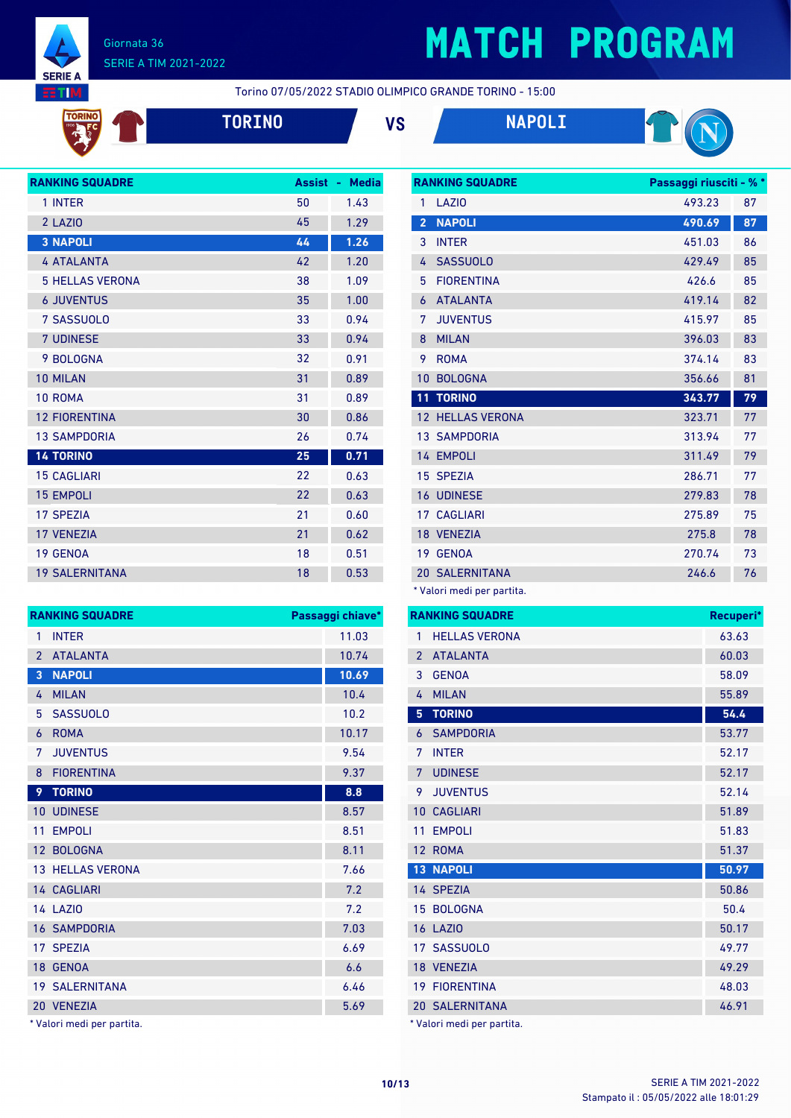

## **MATCH PROGRAM**

Torino 07/05/2022 STADIO OLIMPICO GRANDE TORINO - 15:00



**TORINO VS NAPOLI**





| <b>RANKING SQUADRE</b> | <b>Assist</b> | <b>Media</b><br>٠ |
|------------------------|---------------|-------------------|
| 1 INTER                | 50            | 1.43              |
| 2 LAZIO                | 45            | 1.29              |
| <b>3 NAPOLI</b>        | 44            | 1.26              |
| <b>4 ATALANTA</b>      | 42            | 1.20              |
| <b>5 HELLAS VERONA</b> | 38            | 1.09              |
| <b>6 JUVENTUS</b>      | 35            | 1.00              |
| 7 SASSUOLO             | 33            | 0.94              |
| <b>7 UDINESE</b>       | 33            | 0.94              |
| 9 BOLOGNA              | 32            | 0.91              |
| 10 MILAN               | 31            | 0.89              |
| 10 ROMA                | 31            | 0.89              |
| <b>12 FIORENTINA</b>   | 30            | 0.86              |
| <b>13 SAMPDORIA</b>    | 26            | 0.74              |
| <b>14 TORINO</b>       | 25            | 0.71              |
| <b>15 CAGLIARI</b>     | 22            | 0.63              |
| <b>15 EMPOLI</b>       | 22            | 0.63              |
| <b>17 SPEZIA</b>       | 21            | 0.60              |
| <b>17 VENEZIA</b>      | 21            | 0.62              |
| 19 GENOA               | 18            | 0.51              |
| <b>19 SALERNITANA</b>  | 18            | 0.53              |

| <b>RANKING SQUADRE</b> | Passaggi chiave*      |       |
|------------------------|-----------------------|-------|
| 1                      | <b>INTER</b>          | 11.03 |
| $\overline{2}$         | <b>ATALANTA</b>       | 10.74 |
| 3                      | <b>NAPOLI</b>         | 10.69 |
| 4                      | <b>MILAN</b>          | 10.4  |
| 5                      | <b>SASSUOLO</b>       | 10.2  |
| 6                      | <b>ROMA</b>           | 10.17 |
| 7                      | <b>JUVENTUS</b>       | 9.54  |
| 8                      | <b>FIORENTINA</b>     | 9.37  |
| 9                      | <b>TORINO</b>         | 8.8   |
| 10                     | <b>UDINESE</b>        | 8.57  |
| 11                     | <b>EMPOLI</b>         | 8.51  |
|                        | 12 BOLOGNA            | 8.11  |
|                        | 13 HELLAS VERONA      | 7.66  |
|                        | 14 CAGLIARI           | 7.2   |
|                        | <b>14 LAZIO</b>       | 7.2   |
|                        | <b>16 SAMPDORIA</b>   | 7.03  |
|                        | 17 SPEZIA             | 6.69  |
|                        | 18 GENOA              | 6.6   |
|                        | <b>19 SALERNITANA</b> | 6.46  |
|                        | 20 VENEZIA            | 5.69  |

\* Valori medi per partita.

|                 | <b>RANKING SQUADRE</b> | Passaggi riusciti - % * |    |
|-----------------|------------------------|-------------------------|----|
| 1               | LAZI <sub>0</sub>      | 493.23                  | 87 |
| $\overline{2}$  | <b>NAPOLI</b>          | 490.69                  | 87 |
| 3               | <b>INTER</b>           | 451.03                  | 86 |
| 4               | <b>SASSUOLO</b>        | 429.49                  | 85 |
| 5               | <b>FIORENTINA</b>      | 426.6                   | 85 |
| 6               | <b>ATALANTA</b>        | 419.14                  | 82 |
| 7               | <b>JUVENTUS</b>        | 415.97                  | 85 |
| 8               | <b>MILAN</b>           | 396.03                  | 83 |
| 9               | <b>ROMA</b>            | 374.14                  | 83 |
| 10              | <b>BOLOGNA</b>         | 356.66                  | 81 |
|                 |                        |                         |    |
| 11              | <b>TORINO</b>          | 343.77                  | 79 |
| 12 <sup>7</sup> | <b>HELLAS VERONA</b>   | 323.71                  | 77 |
|                 | <b>13 SAMPDORIA</b>    | 313.94                  | 77 |
|                 | 14 EMPOLI              | 311.49                  | 79 |
|                 | 15 SPEZIA              | 286.71                  | 77 |
|                 | <b>16 UDINESE</b>      | 279.83                  | 78 |
| 17 <sup>1</sup> | <b>CAGLIARI</b>        | 275.89                  | 75 |
|                 | 18 VENEZIA             | 275.8                   | 78 |
| 19              | <b>GENOA</b>           | 270.74                  | 73 |
|                 | <b>20 SALERNITANA</b>  | 246.6                   | 76 |

**RANKING SQUADRE Recuperi\*** 1 HELLAS VERONA 63.63 ATALANTA 60.03 GENOA 58.09 MILAN 55.89 **TORINO 54.4** SAMPDORIA 53.77 INTER 52.17 **7 UDINESE** 52.17 JUVENTUS 52.14 10 CAGLIARI 51.89 11 EMPOLI 51.83 ROMA 51.37 **NAPOLI 50.97** 14 SPEZIA 50.86 15 BOLOGNA 50.4 LAZIO 50.17 SASSUOLO 49.77 VENEZIA 49.29 FIORENTINA 48.03 SALERNITANA 46.91 \* Valori medi per partita.

Stampato il : 05/05/2022 alle 18:01:29 **10/13** SERIE A TIM 2021-2022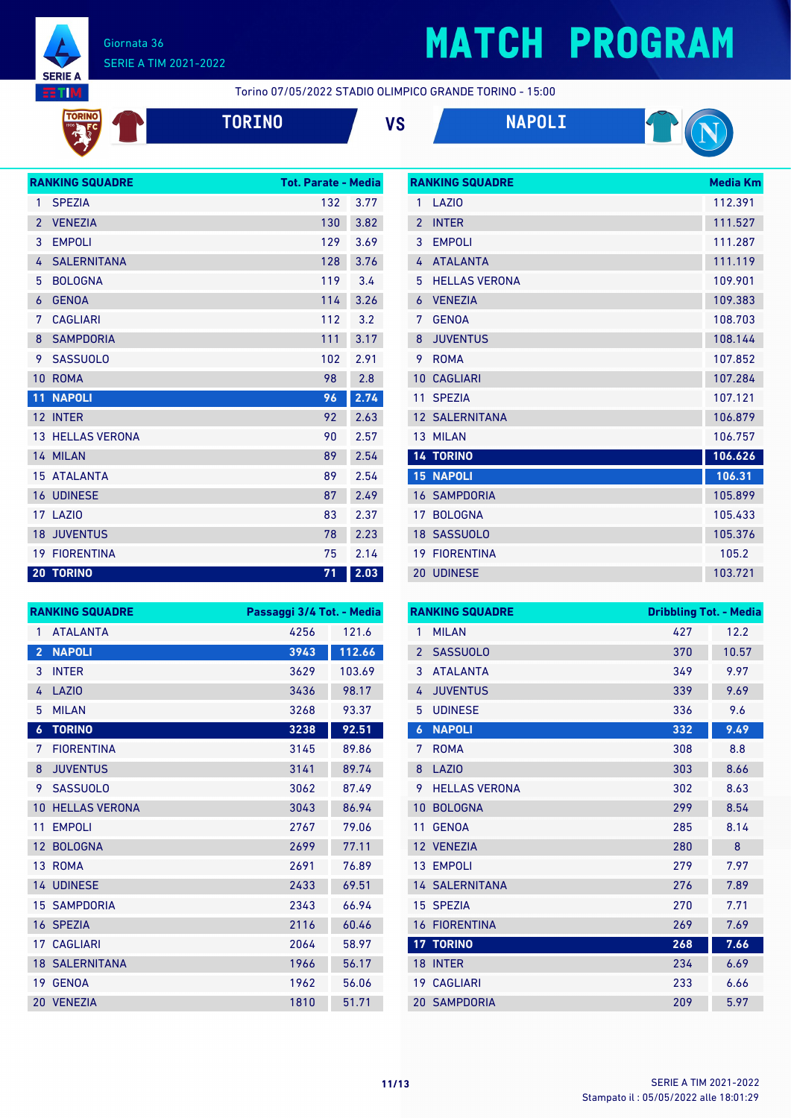

TORINO **PART** 

### Giornata 36 SERIE A TIM 2021-2022

# **MATCH PROGRAM**

**RANKING SQUADRE Media Km** 

Torino 07/05/2022 STADIO OLIMPICO GRANDE TORINO - 15:00

|  | 101 |  |
|--|-----|--|
|  |     |  |
|  |     |  |
|  |     |  |







|                | <b>RANKING SQUADRE</b>  | <b>Tot. Parate - Media</b> |      |
|----------------|-------------------------|----------------------------|------|
| 1              | <b>SPEZIA</b>           | 132                        | 3.77 |
| $\overline{2}$ | <b>VENEZIA</b>          | 130                        | 3.82 |
| 3              | <b>EMPOLI</b>           | 129                        | 3.69 |
| 4              | <b>SALERNITANA</b>      | 128                        | 3.76 |
| 5              | <b>BOLOGNA</b>          | 119                        | 3.4  |
| 6              | <b>GENOA</b>            | 114                        | 3.26 |
| 7              | <b>CAGLIARI</b>         | 112                        | 3.2  |
| 8              | <b>SAMPDORIA</b>        | 111                        | 3.17 |
| 9              | <b>SASSUOLO</b>         | 102                        | 2.91 |
| 10             | <b>ROMA</b>             | 98                         | 2.8  |
| 11             | <b>NAPOLI</b>           | 96                         | 2.74 |
| 12             | <b>INTER</b>            | 92                         | 2.63 |
|                | <b>13 HELLAS VERONA</b> | 90                         | 2.57 |
|                | 14 MILAN                | 89                         | 2.54 |
|                | <b>15 ATALANTA</b>      | 89                         | 2.54 |
|                | <b>16 UDINESE</b>       | 87                         | 2.49 |
|                | <b>17 LAZIO</b>         | 83                         | 2.37 |
|                | <b>18 JUVENTUS</b>      | 78                         | 2.23 |
|                | <b>19 FIORENTINA</b>    | 75                         | 2.14 |
|                | <b>20 TORINO</b>        | 71                         | 2.03 |

| 1              | <b>LA710</b>          | 112.391 |
|----------------|-----------------------|---------|
| $\overline{2}$ | <b>INTER</b>          | 111.527 |
| 3              | <b>EMPOLI</b>         | 111.287 |
| 4              | <b>ATALANTA</b>       | 111.119 |
| 5              | <b>HELLAS VERONA</b>  | 109.901 |
| 6              | <b>VFNF7IA</b>        | 109.383 |
| 7              | <b>GENOA</b>          | 108.703 |
| 8              | <b>JUVENTUS</b>       | 108.144 |
| 9              | <b>ROMA</b>           | 107.852 |
| 10             | <b>CAGLIARI</b>       | 107.284 |
| 11             | <b>SPEZIA</b>         | 107.121 |
|                | <b>12 SALERNITANA</b> | 106.879 |
| 13             | <b>MILAN</b>          | 106.757 |
|                |                       |         |
|                | <b>14 TORINO</b>      | 106.626 |
| 15             | <b>NAPOLI</b>         | 106.31  |
|                | <b>16 SAMPDORIA</b>   | 105.899 |
| 17             | <b>BOLOGNA</b>        | 105.433 |
| 18             | <b>SASSUOLO</b>       | 105.376 |
| 19             | <b>FIORENTINA</b>     | 105.2   |

|                  | <b>RANKING SQUADRE</b> | Passaggi 3/4 Tot. - Media |        |
|------------------|------------------------|---------------------------|--------|
| 1                | <b>ATALANTA</b>        | 4256                      | 121.6  |
| $\overline{2}$   | <b>NAPOLI</b>          | 3943                      | 112.66 |
| 3                | <b>INTER</b>           | 3629                      | 103.69 |
| 4                | LAZIO                  | 3436                      | 98.17  |
| 5                | <b>MILAN</b>           | 3268                      | 93.37  |
| $\boldsymbol{6}$ | <b>TORINO</b>          | 3238                      | 92.51  |
| 7                | <b>FIORENTINA</b>      | 3145                      | 89.86  |
| 8                | <b>JUVENTUS</b>        | 3141                      | 89.74  |
| 9                | <b>SASSUOLO</b>        | 3062                      | 87.49  |
| 10               | <b>HELLAS VERONA</b>   | 3043                      | 86.94  |
| 11               | <b>EMPOLI</b>          | 2767                      | 79.06  |
| 12               | <b>BOLOGNA</b>         | 2699                      | 77.11  |
| 13               | <b>ROMA</b>            | 2691                      | 76.89  |
|                  | <b>14 UDINESE</b>      | 2433                      | 69.51  |
|                  | <b>15 SAMPDORIA</b>    | 2343                      | 66.94  |
|                  | 16 SPEZIA              | 2116                      | 60.46  |
| 17               | <b>CAGLIARI</b>        | 2064                      | 58.97  |
|                  | <b>18 SALERNITANA</b>  | 1966                      | 56.17  |
| 19               | <b>GENOA</b>           | 1962                      | 56.06  |
|                  | 20 VENEZIA             | 1810                      | 51.71  |

|                 | <b>RANKING SQUADRE</b> | <b>Dribbling Tot. - Media</b> |       |
|-----------------|------------------------|-------------------------------|-------|
| 1               | <b>MILAN</b>           | 427                           | 12.2  |
| $\overline{2}$  | <b>SASSUOLO</b>        | 370                           | 10.57 |
| 3               | <b>ATAI ANTA</b>       | 349                           | 9.97  |
| 4               | <b>JUVENTUS</b>        | 339                           | 9.69  |
| 5               | <b>UDINESE</b>         | 336                           | 9.6   |
| 6               | <b>NAPOLI</b>          | 332                           | 9.49  |
| 7               | <b>ROMA</b>            | 308                           | 8.8   |
| 8               | LAZI <sub>0</sub>      | 303                           | 8.66  |
| 9               | <b>HELLAS VERONA</b>   | 302                           | 8.63  |
| 10              | <b>BOLOGNA</b>         | 299                           | 8.54  |
| 11              | <b>GENOA</b>           | 285                           | 8.14  |
| 12              | <b>VENEZIA</b>         | 280                           | 8     |
| 13 <sup>°</sup> | <b>EMPOLI</b>          | 279                           | 7.97  |
|                 | <b>14 SALERNITANA</b>  | 276                           | 7.89  |
|                 | 15 SPEZIA              | 270                           | 7.71  |
| 16              | <b>FIORENTINA</b>      | 269                           | 7.69  |
|                 | <b>17 TORINO</b>       | 268                           | 7.66  |
| 18              | <b>INTER</b>           | 234                           | 6.69  |
| 19 <sup>°</sup> | <b>CAGLIARI</b>        | 233                           | 6.66  |
|                 | <b>20 SAMPDORIA</b>    | 209                           | 5.97  |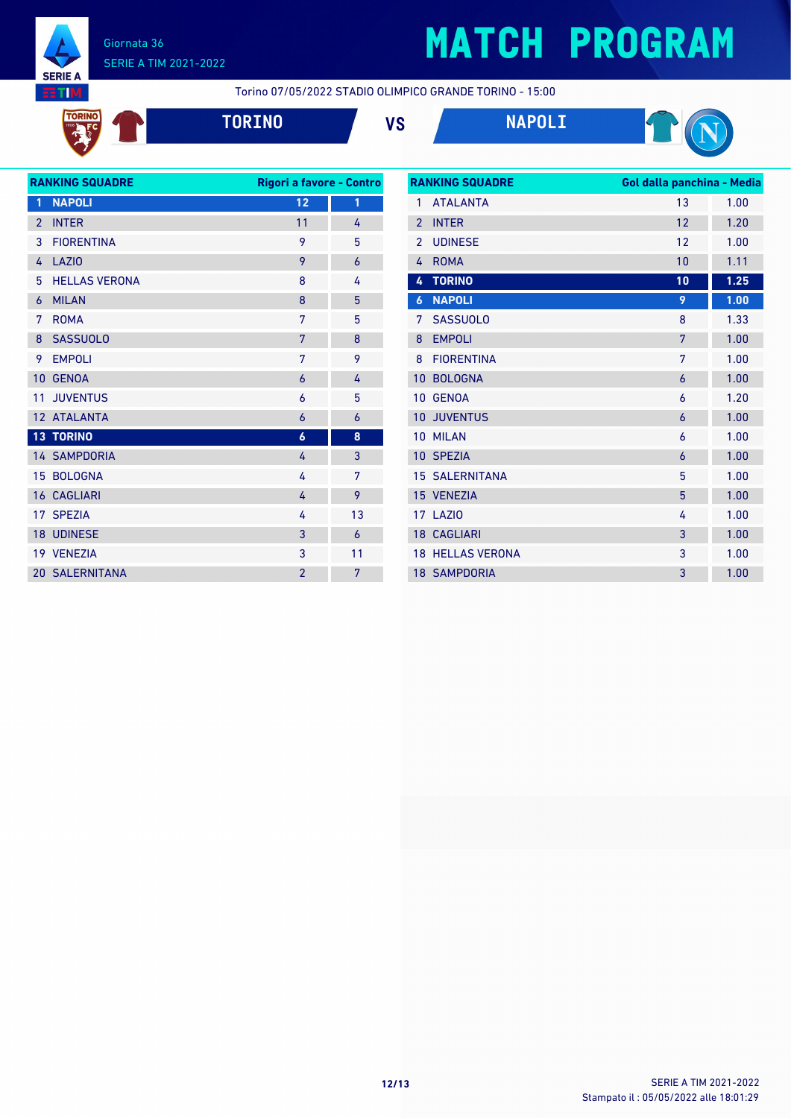

# **MATCH PROGRAM**

Torino 07/05/2022 STADIO OLIMPICO GRANDE TORINO - 15:00



**TORINO VS NAPOLI**



| <b>RANKING SQUADRE</b><br>Rigori a favore - Contro |                       |                  |    |
|----------------------------------------------------|-----------------------|------------------|----|
| 1                                                  | <b>NAPOLI</b>         | 12               | 1  |
| $\overline{2}$                                     | <b>INTER</b>          | 11               | 4  |
| 3                                                  | <b>FIORENTINA</b>     | 9                | 5  |
| 4                                                  | LAZI <sub>0</sub>     | 9                | 6  |
| 5                                                  | <b>HELLAS VERONA</b>  | 8                | 4  |
| 6                                                  | <b>MILAN</b>          | 8                | 5  |
| 7                                                  | <b>ROMA</b>           | 7                | 5  |
| 8                                                  | <b>SASSUOLO</b>       | 7                | 8  |
| 9                                                  | <b>EMPOLI</b>         | 7                | 9  |
| 10                                                 | <b>GENOA</b>          | 6                | 4  |
| 11                                                 | <b>JUVENTUS</b>       | 6                | 5  |
|                                                    | 12 ATALANTA           | 6                | 6  |
|                                                    | <b>13 TORINO</b>      | $\boldsymbol{6}$ | 8  |
|                                                    | <b>14 SAMPDORIA</b>   | 4                | 3  |
|                                                    | 15 BOLOGNA            | 4                | 7  |
|                                                    | <b>16 CAGLIARI</b>    | 4                | 9  |
| 17                                                 | <b>SPEZIA</b>         | 4                | 13 |
|                                                    | 18 UDINESE            | 3                | 6  |
|                                                    | 19 VENEZIA            | 3                | 11 |
|                                                    | <b>20 SALERNITANA</b> | $\overline{2}$   | 7  |
|                                                    |                       |                  |    |

| <b>RANKING SQUADRE</b> |                         | Gol dalla panchina - Media |      |
|------------------------|-------------------------|----------------------------|------|
| 1                      | <b>ATALANTA</b>         | 13                         | 1.00 |
| $\overline{2}$         | <b>INTER</b>            | 12                         | 1.20 |
| $\mathfrak{p}$         | <b>UDINESE</b>          | 12                         | 1.00 |
| 4                      | <b>ROMA</b>             | 10                         | 1.11 |
| 4                      | <b>TORINO</b>           | 10                         | 1.25 |
| 6                      | <b>NAPOLI</b>           | 9                          | 1.00 |
| 7                      | <b>SASSUOLO</b>         | 8                          | 1.33 |
| 8                      | <b>EMPOLI</b>           | 7                          | 1.00 |
| 8                      | <b>FIORENTINA</b>       | 7                          | 1.00 |
| 10                     | <b>BOLOGNA</b>          | 6                          | 1.00 |
| 10                     | <b>GENOA</b>            | 6                          | 1.20 |
| 10                     | <b>JUVENTUS</b>         | 6                          | 1.00 |
| 10                     | <b>MILAN</b>            | 6                          | 1.00 |
|                        | 10 SPEZIA               | 6                          | 1.00 |
|                        | <b>15 SALERNITANA</b>   | 5                          | 1.00 |
|                        | 15 VENEZIA              | 5                          | 1.00 |
|                        | <b>17 LAZIO</b>         | 4                          | 1.00 |
|                        | <b>18 CAGLIARI</b>      | 3                          | 1.00 |
|                        | <b>18 HELLAS VERONA</b> | 3                          | 1.00 |
|                        | <b>18 SAMPDORIA</b>     | 3                          | 1.00 |